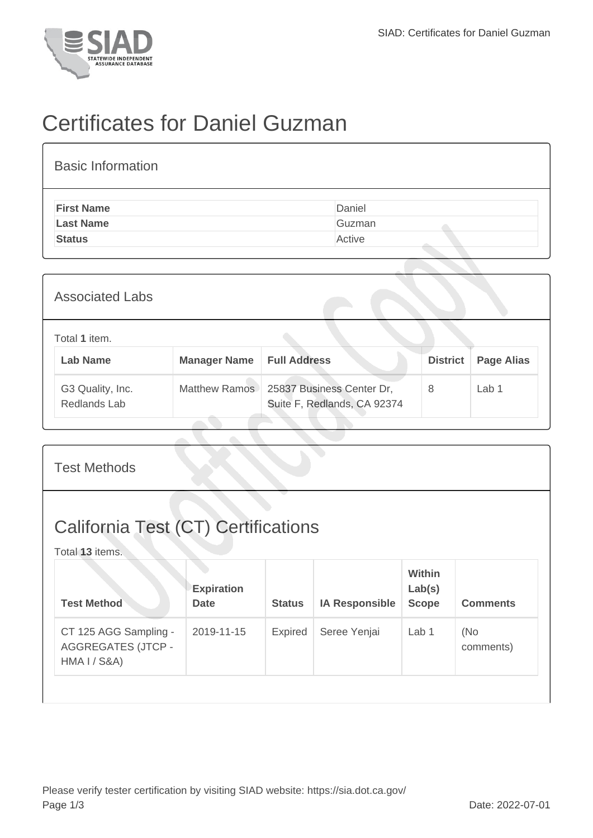

## Certificates for Daniel Guzman

| <b>Basic Information</b> |        |
|--------------------------|--------|
| <b>First Name</b>        | Daniel |
| <b>Last Name</b>         | Guzman |
| <b>Status</b>            | Active |

| <b>Associated Labs</b>           |                     |                                                          |                 |                   |
|----------------------------------|---------------------|----------------------------------------------------------|-----------------|-------------------|
| Total 1 item.<br><b>Lab Name</b> | <b>Manager Name</b> | <b>Full Address</b>                                      | <b>District</b> | <b>Page Alias</b> |
| G3 Quality, Inc.<br>Redlands Lab | Matthew Ramos       | 25837 Business Center Dr,<br>Suite F, Redlands, CA 92374 | 8               | Lab <sub>1</sub>  |

| <b>Test Methods</b>                                                |                                  |                |                       |                                  |                  |  |  |
|--------------------------------------------------------------------|----------------------------------|----------------|-----------------------|----------------------------------|------------------|--|--|
| <b>California Test (CT) Certifications</b><br>Total 13 items.      |                                  |                |                       |                                  |                  |  |  |
| <b>Test Method</b>                                                 | <b>Expiration</b><br><b>Date</b> | <b>Status</b>  | <b>IA Responsible</b> | Within<br>Lab(s)<br><b>Scope</b> | <b>Comments</b>  |  |  |
| CT 125 AGG Sampling -<br><b>AGGREGATES (JTCP -</b><br>HMA I / S&A) | 2019-11-15                       | <b>Expired</b> | Seree Yenjai          | Lab 1                            | (No<br>comments) |  |  |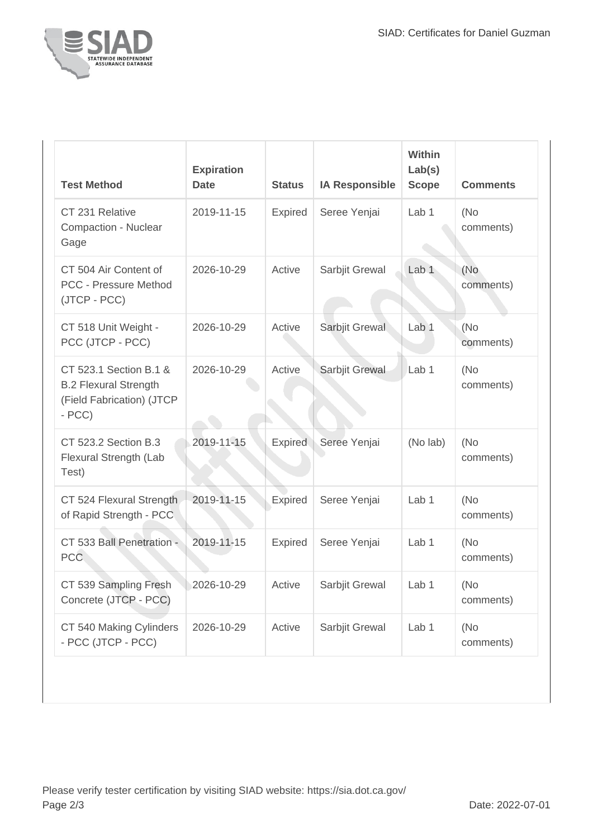

| <b>Test Method</b>                                                                             | <b>Expiration</b><br><b>Date</b> | <b>Status</b>  | <b>IA Responsible</b> | Within<br>Lab(s)<br><b>Scope</b> | <b>Comments</b>   |
|------------------------------------------------------------------------------------------------|----------------------------------|----------------|-----------------------|----------------------------------|-------------------|
| CT 231 Relative<br>Compaction - Nuclear<br>Gage                                                | 2019-11-15                       | Expired        | Seree Yenjai          | Lab <sub>1</sub>                 | (No<br>comments)  |
| CT 504 Air Content of<br><b>PCC - Pressure Method</b><br>(JTCP - PCC)                          | 2026-10-29                       | Active         | Sarbjit Grewal        | Lab <sub>1</sub>                 | (No<br>comments)  |
| CT 518 Unit Weight -<br>PCC (JTCP - PCC)                                                       | 2026-10-29                       | Active         | Sarbjit Grewal        | Lab <sub>1</sub>                 | (No<br>comments)  |
| CT 523.1 Section B.1 &<br><b>B.2 Flexural Strength</b><br>(Field Fabrication) (JTCP<br>$- PCC$ | 2026-10-29                       | Active         | Sarbjit Grewal        | Lab <sub>1</sub>                 | (No)<br>comments) |
| CT 523.2 Section B.3<br>Flexural Strength (Lab<br>Test)                                        | 2019-11-15                       | <b>Expired</b> | Seree Yenjai          | (No lab)                         | (No<br>comments)  |
| CT 524 Flexural Strength<br>of Rapid Strength - PCC                                            | 2019-11-15                       | <b>Expired</b> | Seree Yenjai          | Lab <sub>1</sub>                 | (No<br>comments)  |
| CT 533 Ball Penetration -<br>PCC                                                               | 2019-11-15                       | <b>Expired</b> | Seree Yenjai          | Lab <sub>1</sub>                 | (No<br>comments)  |
| CT 539 Sampling Fresh<br>Concrete (JTCP - PCC)                                                 | $2026 - 10 - 29$                 | Active         | Sarbjit Grewal        | Lab 1                            | (No<br>comments)  |
| CT 540 Making Cylinders<br>- PCC (JTCP - PCC)                                                  | 2026-10-29                       | Active         | Sarbjit Grewal        | Lab 1                            | (No<br>comments)  |